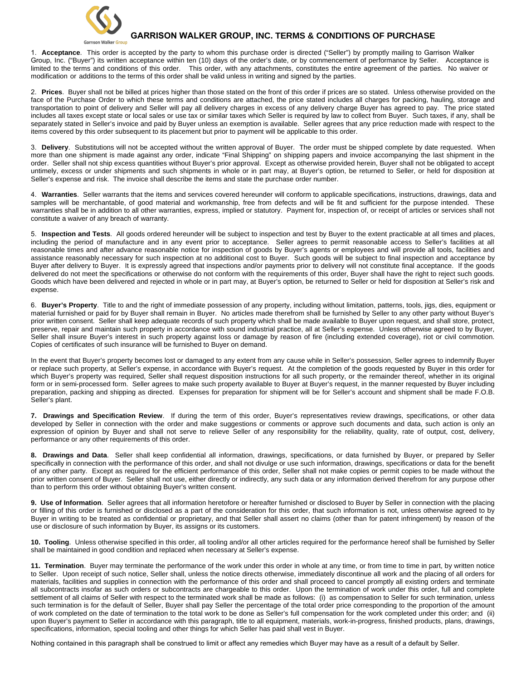

## **GARRISON WALKER GROUP, INC. TERMS & CONDITIONS OF PURCHASE**

1. **Acceptance**. This order is accepted by the party to whom this purchase order is directed ("Seller") by promptly mailing to Garrison Walker Group, Inc. ("Buyer") its written acceptance within ten (10) days of the order's date, or by commencement of performance by Seller. Acceptance is limited to the terms and conditions of this order. This order, with any attachments, constitutes the entire agreement of the parties. No waiver or modification or additions to the terms of this order shall be valid unless in writing and signed by the parties.

2. **Prices**. Buyer shall not be billed at prices higher than those stated on the front of this order if prices are so stated. Unless otherwise provided on the face of the Purchase Order to which these terms and conditions are attached, the price stated includes all charges for packing, hauling, storage and transportation to point of delivery and Seller will pay all delivery charges in excess of any delivery charge Buyer has agreed to pay. The price stated includes all taxes except state or local sales or use tax or similar taxes which Seller is required by law to collect from Buyer. Such taxes, if any, shall be separately stated in Seller's invoice and paid by Buyer unless an exemption is available. Seller agrees that any price reduction made with respect to the items covered by this order subsequent to its placement but prior to payment will be applicable to this order.

3. **Delivery**. Substitutions will not be accepted without the written approval of Buyer. The order must be shipped complete by date requested. When more than one shipment is made against any order, indicate "Final Shipping" on shipping papers and invoice accompanying the last shipment in the order. Seller shall not ship excess quantities without Buyer's prior approval. Except as otherwise provided herein, Buyer shall not be obligated to accept untimely, excess or under shipments and such shipments in whole or in part may, at Buyer's option, be returned to Seller, or held for disposition at Seller's expense and risk. The invoice shall describe the items and state the purchase order number.

4. **Warranties**. Seller warrants that the items and services covered hereunder will conform to applicable specifications, instructions, drawings, data and samples will be merchantable, of good material and workmanship, free from defects and will be fit and sufficient for the purpose intended. These warranties shall be in addition to all other warranties, express, implied or statutory. Payment for, inspection of, or receipt of articles or services shall not constitute a waiver of any breach of warranty.

5. **Inspection and Tests**. All goods ordered hereunder will be subject to inspection and test by Buyer to the extent practicable at all times and places, including the period of manufacture and in any event prior to acceptance. Seller agrees to permit reasonable access to Seller's facilities at all reasonable times and after advance reasonable notice for inspection of goods by Buyer's agents or employees and will provide all tools, facilities and assistance reasonably necessary for such inspection at no additional cost to Buyer. Such goods will be subject to final inspection and acceptance by Buyer after delivery to Buyer. It is expressly agreed that inspections and/or payments prior to delivery will not constitute final acceptance. If the goods delivered do not meet the specifications or otherwise do not conform with the requirements of this order, Buyer shall have the right to reject such goods. Goods which have been delivered and rejected in whole or in part may, at Buyer's option, be returned to Seller or held for disposition at Seller's risk and expense.

6. **Buyer's Property**. Title to and the right of immediate possession of any property, including without limitation, patterns, tools, jigs, dies, equipment or material furnished or paid for by Buyer shall remain in Buyer. No articles made therefrom shall be furnished by Seller to any other party without Buyer's prior written consent. Seller shall keep adequate records of such property which shall be made available to Buyer upon request, and shall store, protect, preserve, repair and maintain such property in accordance with sound industrial practice, all at Seller's expense. Unless otherwise agreed to by Buyer, Seller shall insure Buyer's interest in such property against loss or damage by reason of fire (including extended coverage), riot or civil commotion. Copies of certificates of such insurance will be furnished to Buyer on demand.

In the event that Buyer's property becomes lost or damaged to any extent from any cause while in Seller's possession, Seller agrees to indemnify Buyer or replace such property, at Seller's expense, in accordance with Buyer's request. At the completion of the goods requested by Buyer in this order for which Buyer's property was required, Seller shall request disposition instructions for all such property, or the remainder thereof, whether in its original form or in semi-processed form. Seller agrees to make such property available to Buyer at Buyer's request, in the manner requested by Buyer including preparation, packing and shipping as directed. Expenses for preparation for shipment will be for Seller's account and shipment shall be made F.O.B. Seller's plant.

**7. Drawings and Specification Review**. If during the term of this order, Buyer's representatives review drawings, specifications, or other data developed by Seller in connection with the order and make suggestions or comments or approve such documents and data, such action is only an expression of opinion by Buyer and shall not serve to relieve Seller of any responsibility for the reliability, quality, rate of output, cost, delivery, performance or any other requirements of this order.

**8. Drawings and Data**. Seller shall keep confidential all information, drawings, specifications, or data furnished by Buyer, or prepared by Seller specifically in connection with the performance of this order, and shall not divulge or use such information, drawings, specifications or data for the benefit of any other party. Except as required for the efficient performance of this order, Seller shall not make copies or permit copies to be made without the prior written consent of Buyer. Seller shall not use, either directly or indirectly, any such data or any information derived therefrom for any purpose other than to perform this order without obtaining Buyer's written consent.

**9. Use of Information**. Seller agrees that all information heretofore or hereafter furnished or disclosed to Buyer by Seller in connection with the placing or filling of this order is furnished or disclosed as a part of the consideration for this order, that such information is not, unless otherwise agreed to by Buyer in writing to be treated as confidential or proprietary, and that Seller shall assert no claims (other than for patent infringement) by reason of the use or disclosure of such information by Buyer, its assigns or its customers.

**10. Tooling**. Unless otherwise specified in this order, all tooling and/or all other articles required for the performance hereof shall be furnished by Seller shall be maintained in good condition and replaced when necessary at Seller's expense.

**11. Termination**. Buyer may terminate the performance of the work under this order in whole at any time, or from time to time in part, by written notice to Seller. Upon receipt of such notice, Seller shall, unless the notice directs otherwise, immediately discontinue all work and the placing of all orders for materials, facilities and supplies in connection with the performance of this order and shall proceed to cancel promptly all existing orders and terminate all subcontracts insofar as such orders or subcontracts are chargeable to this order. Upon the termination of work under this order, full and complete settlement of all claims of Seller with respect to the terminated work shall be made as follows: (i) as compensation to Seller for such termination, unless such termination is for the default of Seller, Buyer shall pay Seller the percentage of the total order price corresponding to the proportion of the amount of work completed on the date of termination to the total work to be done as Seller's full compensation for the work completed under this order; and (ii) upon Buyer's payment to Seller in accordance with this paragraph, title to all equipment, materials, work-in-progress, finished products, plans, drawings, specifications, information, special tooling and other things for which Seller has paid shall vest in Buyer.

Nothing contained in this paragraph shall be construed to limit or affect any remedies which Buyer may have as a result of a default by Seller.